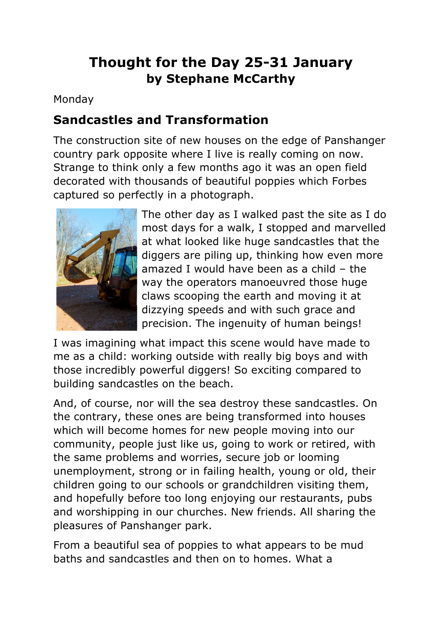# **Thought for the Day 25-31 January by Stephane McCarthy**

Monday

#### **Sandcastles and Transformation**

The construction site of new houses on the edge of Panshanger country park opposite where I live is really coming on now. Strange to think only a few months ago it was an open field decorated with thousands of beautiful poppies which Forbes captured so perfectly in a photograph.



The other day as I walked past the site as I do most days for a walk, I stopped and marvelled at what looked like huge sandcastles that the diggers are piling up, thinking how even more amazed I would have been as a child – the way the operators manoeuvred those huge claws scooping the earth and moving it at dizzying speeds and with such grace and precision. The ingenuity of human beings!

I was imagining what impact this scene would have made to me as a child: working outside with really big boys and with those incredibly powerful diggers! So exciting compared to building sandcastles on the beach.

And, of course, nor will the sea destroy these sandcastles. On the contrary, these ones are being transformed into houses which will become homes for new people moving into our community, people just like us, going to work or retired, with the same problems and worries, secure job or looming unemployment, strong or in failing health, young or old, their children going to our schools or grandchildren visiting them, and hopefully before too long enjoying our restaurants, pubs and worshipping in our churches. New friends. All sharing the pleasures of Panshanger park.

From a beautiful sea of poppies to what appears to be mud baths and sandcastles and then on to homes. What a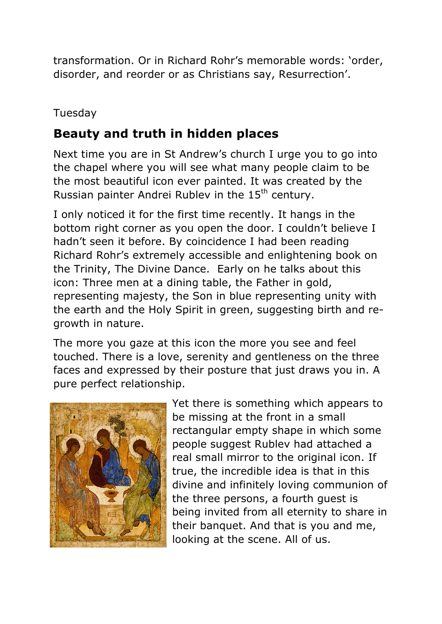transformation. Or in Richard Rohr's memorable words: 'order, disorder, and reorder or as Christians say, Resurrection'.

#### Tuesday

# **Beauty and truth in hidden places**

Next time you are in St Andrew's church I urge you to go into the chapel where you will see what many people claim to be the most beautiful icon ever painted. It was created by the Russian painter Andrei Rubley in the 15<sup>th</sup> century.

I only noticed it for the first time recently. It hangs in the bottom right corner as you open the door. I couldn't believe I hadn't seen it before. By coincidence I had been reading Richard Rohr's extremely accessible and enlightening book on the Trinity, The Divine Dance. Early on he talks about this icon: Three men at a dining table, the Father in gold, representing majesty, the Son in blue representing unity with the earth and the Holy Spirit in green, suggesting birth and regrowth in nature.

The more you gaze at this icon the more you see and feel touched. There is a love, serenity and gentleness on the three faces and expressed by their posture that just draws you in. A pure perfect relationship.



Yet there is something which appears to be missing at the front in a small rectangular empty shape in which some people suggest Rublev had attached a real small mirror to the original icon. If true, the incredible idea is that in this divine and infinitely loving communion of the three persons, a fourth guest is being invited from all eternity to share in their banquet. And that is you and me, looking at the scene. All of us.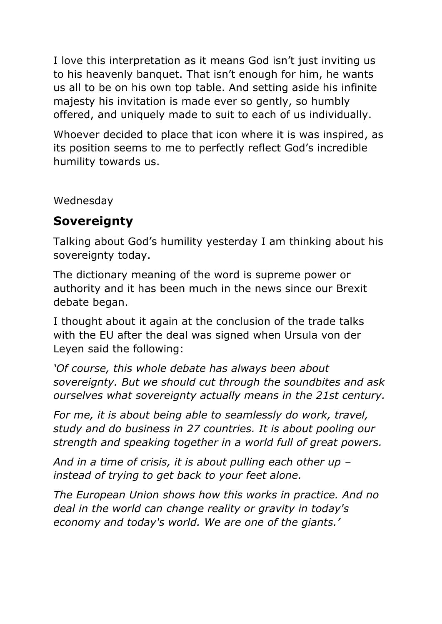I love this interpretation as it means God isn't just inviting us to his heavenly banquet. That isn't enough for him, he wants us all to be on his own top table. And setting aside his infinite majesty his invitation is made ever so gently, so humbly offered, and uniquely made to suit to each of us individually.

Whoever decided to place that icon where it is was inspired, as its position seems to me to perfectly reflect God's incredible humility towards us.

Wednesday

# **Sovereignty**

Talking about God's humility yesterday I am thinking about his sovereignty today.

The dictionary meaning of the word is supreme power or authority and it has been much in the news since our Brexit debate began.

I thought about it again at the conclusion of the trade talks with the EU after the deal was signed when Ursula von der Leyen said the following:

*'Of course, this whole debate has always been about sovereignty. But we should cut through the soundbites and ask ourselves what sovereignty actually means in the 21st century.*

*For me, it is about being able to seamlessly do work, travel, study and do business in 27 countries. It is about pooling our strength and speaking together in a world full of great powers.*

*And in a time of crisis, it is about pulling each other up – instead of trying to get back to your feet alone.*

*The European Union shows how this works in practice. And no deal in the world can change reality or gravity in today's economy and today's world. We are one of the giants.'*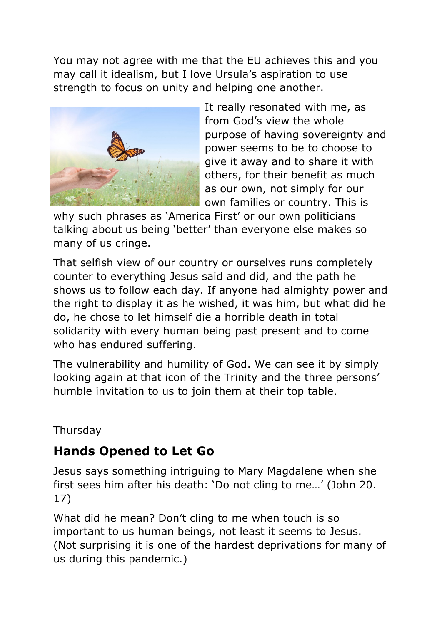You may not agree with me that the EU achieves this and you may call it idealism, but I love Ursula's aspiration to use strength to focus on unity and helping one another.



It really resonated with me, as from God's view the whole purpose of having sovereignty and power seems to be to choose to give it away and to share it with others, for their benefit as much as our own, not simply for our own families or country. This is

why such phrases as 'America First' or our own politicians talking about us being 'better' than everyone else makes so many of us cringe.

That selfish view of our country or ourselves runs completely counter to everything Jesus said and did, and the path he shows us to follow each day. If anyone had almighty power and the right to display it as he wished, it was him, but what did he do, he chose to let himself die a horrible death in total solidarity with every human being past present and to come who has endured suffering.

The vulnerability and humility of God. We can see it by simply looking again at that icon of the Trinity and the three persons' humble invitation to us to join them at their top table.

#### Thursday

# **Hands Opened to Let Go**

Jesus says something intriguing to Mary Magdalene when she first sees him after his death: 'Do not cling to me…' (John 20. 17)

What did he mean? Don't cling to me when touch is so important to us human beings, not least it seems to Jesus. (Not surprising it is one of the hardest deprivations for many of us during this pandemic.)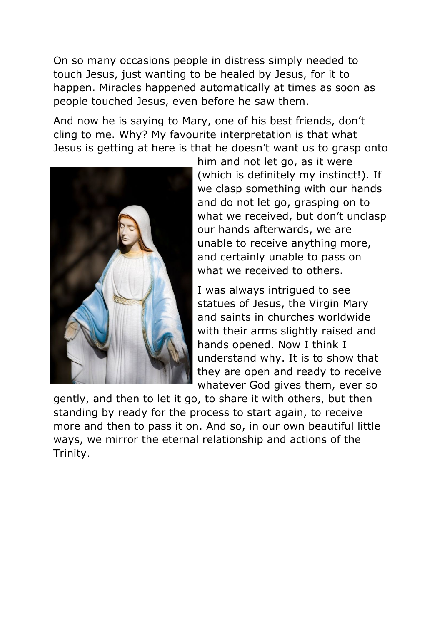On so many occasions people in distress simply needed to touch Jesus, just wanting to be healed by Jesus, for it to happen. Miracles happened automatically at times as soon as people touched Jesus, even before he saw them.

And now he is saying to Mary, one of his best friends, don't cling to me. Why? My favourite interpretation is that what Jesus is getting at here is that he doesn't want us to grasp onto



him and not let go, as it were (which is definitely my instinct!). If we clasp something with our hands and do not let go, grasping on to what we received, but don't unclasp our hands afterwards, we are unable to receive anything more, and certainly unable to pass on what we received to others.

I was always intrigued to see statues of Jesus, the Virgin Mary and saints in churches worldwide with their arms slightly raised and hands opened. Now I think I understand why. It is to show that they are open and ready to receive whatever God gives them, ever so

gently, and then to let it go, to share it with others, but then standing by ready for the process to start again, to receive more and then to pass it on. And so, in our own beautiful little ways, we mirror the eternal relationship and actions of the Trinity.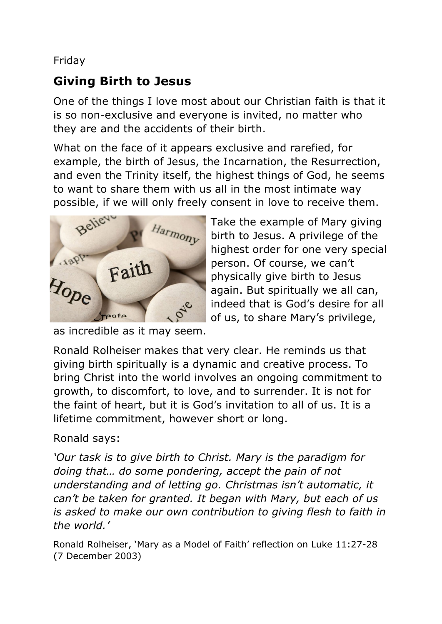#### Friday

#### **Giving Birth to Jesus**

One of the things I love most about our Christian faith is that it is so non-exclusive and everyone is invited, no matter who they are and the accidents of their birth.

What on the face of it appears exclusive and rarefied, for example, the birth of Jesus, the Incarnation, the Resurrection, and even the Trinity itself, the highest things of God, he seems to want to share them with us all in the most intimate way possible, if we will only freely consent in love to receive them.



Take the example of Mary giving birth to Jesus. A privilege of the highest order for one very special person. Of course, we can't physically give birth to Jesus again. But spiritually we all can, indeed that is God's desire for all of us, to share Mary's privilege,

as incredible as it may seem.

Ronald Rolheiser makes that very clear. He reminds us that giving birth spiritually is a dynamic and creative process. To bring Christ into the world involves an ongoing commitment to growth, to discomfort, to love, and to surrender. It is not for the faint of heart, but it is God's invitation to all of us. It is a lifetime commitment, however short or long.

Ronald says:

*'Our task is to give birth to Christ. Mary is the paradigm for doing that… do some pondering, accept the pain of not understanding and of letting go. Christmas isn't automatic, it can't be taken for granted. It began with Mary, but each of us is asked to make our own contribution to giving flesh to faith in the world.'*

Ronald Rolheiser, 'Mary as a Model of Faith' reflection on Luke 11:27-28 (7 December 2003)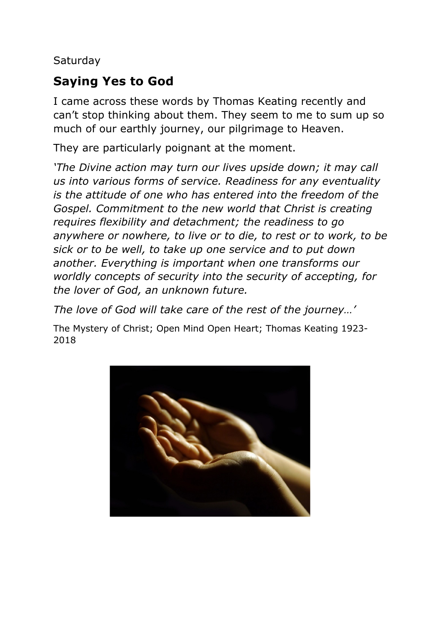**Saturday** 

# **Saying Yes to God**

I came across these words by Thomas Keating recently and can't stop thinking about them. They seem to me to sum up so much of our earthly journey, our pilgrimage to Heaven.

They are particularly poignant at the moment.

*'The Divine action may turn our lives upside down; it may call us into various forms of service. Readiness for any eventuality is the attitude of one who has entered into the freedom of the Gospel. Commitment to the new world that Christ is creating requires flexibility and detachment; the readiness to go anywhere or nowhere, to live or to die, to rest or to work, to be sick or to be well, to take up one service and to put down another. Everything is important when one transforms our worldly concepts of security into the security of accepting, for the lover of God, an unknown future.*

*The love of God will take care of the rest of the journey…'*

The Mystery of Christ; Open Mind Open Heart; Thomas Keating 1923- 2018